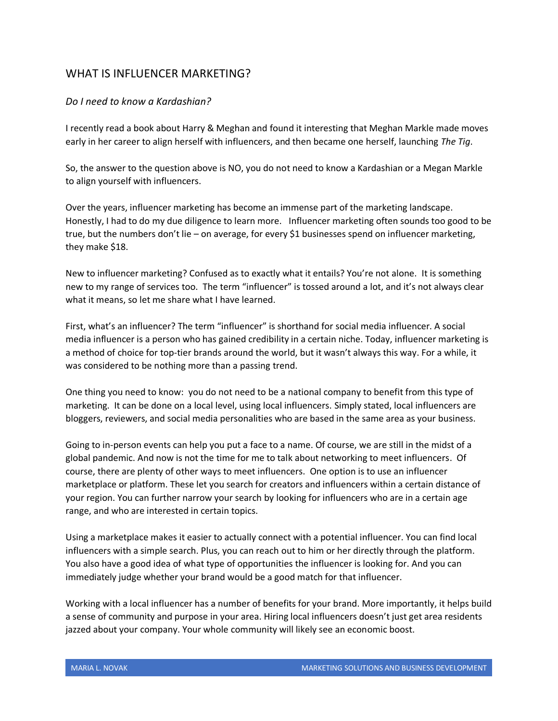# WHAT IS INFLUENCER MARKETING?

# *Do I need to know a Kardashian?*

I recently read a book about Harry & Meghan and found it interesting that Meghan Markle made moves early in her career to align herself with influencers, and then became one herself, launching *The Tig*.

So, the answer to the question above is NO, you do not need to know a Kardashian or a Megan Markle to align yourself with influencers.

Over the years, influencer marketing has become an immense part of the marketing landscape. Honestly, I had to do my due diligence to learn more. Influencer marketing often sounds too good to be true, but the numbers don't lie – on average, for every \$1 businesses spend on influencer marketing, they make \$18.

New to influencer marketing? Confused as to exactly what it entails? You're not alone. It is something new to my range of services too. The term "influencer" is tossed around a lot, and it's not always clear what it means, so let me share what I have learned.

First, what's an influencer? The term "influencer" is shorthand for social media influencer. A social media influencer is a person who has gained credibility in a certain niche. Today, influencer marketing is a method of choice for top-tier brands around the world, but it wasn't always this way. For a while, it was considered to be nothing more than a passing trend.

One thing you need to know: you do not need to be a national company to benefit from this type of marketing. It can be done on a local level, using local influencers. Simply stated, local influencers are bloggers, reviewers, and social media personalities who are based in the same area as your business.

Going to in-person events can help you put a face to a name. Of course, we are still in the midst of a global pandemic. And now is not the time for me to talk about networking to meet influencers. Of course, there are plenty of other ways to meet influencers. One option is to use an influencer marketplace or platform. These let you search for creators and influencers within a certain distance of your region. You can further narrow your search by looking for influencers who are in a certain age range, and who are interested in certain topics.

Using a marketplace makes it easier to actually connect with a potential influencer. You can find local influencers with a simple search. Plus, you can reach out to him or her directly through the platform. You also have a good idea of what type of opportunities the influencer is looking for. And you can immediately judge whether your brand would be a good match for that influencer.

Working with a local influencer has a number of benefits for your brand. More importantly, it helps build a sense of community and purpose in your area. Hiring local influencers doesn't just get area residents jazzed about your company. Your whole community will likely see an economic boost.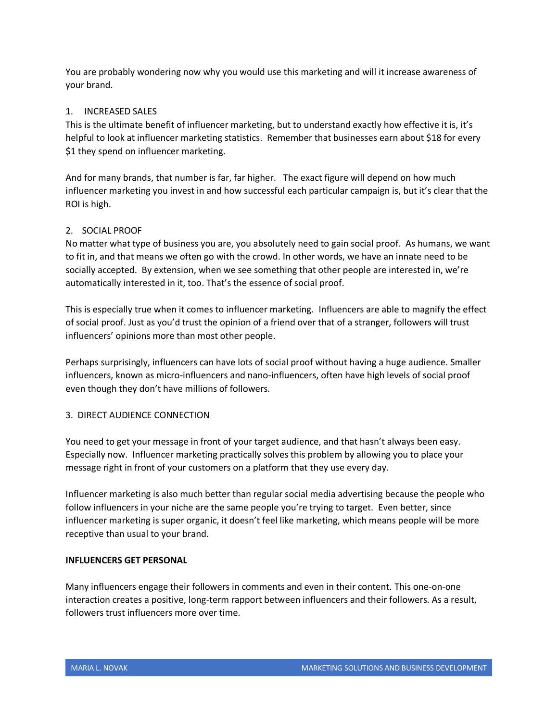You are probably wondering now why you would use this marketing and will it increase awareness of your brand.

# 1. INCREASED SALES

This is the ultimate benefit of influencer marketing, but to understand exactly how effective it is, it's helpful to look at influencer marketing statistics. Remember that businesses earn about \$18 for every \$1 they spend on influencer marketing.

And for many brands, that number is far, far higher. The exact figure will depend on how much influencer marketing you invest in and how successful each particular campaign is, but it's clear that the ROI is high.

# 2. SOCIAL PROOF

No matter what type of business you are, you absolutely need to gain social proof. As humans, we want to fit in, and that means we often go with the crowd. In other words, we have an innate need to be socially accepted. By extension, when we see something that other people are interested in, we're automatically interested in it, too. That's the essence of social proof.

This is especially true when it comes to influencer marketing. Influencers are able to magnify the effect of social proof. Just as you'd trust the opinion of a friend over that of a stranger, followers will trust influencers' opinions more than most other people.

Perhaps surprisingly, influencers can have lots of social proof without having a huge audience. Smaller influencers, known as micro-influencers and nano-influencers, often have high levels of social proof even though they don't have millions of followers.

# 3. DIRECT AUDIENCE CONNECTION

You need to get your message in front of your target audience, and that hasn't always been easy. Especially now. Influencer marketing practically solves this problem by allowing you to place your message right in front of your customers on a platform that they use every day.

Influencer marketing is also much better than regular social media advertising because the people who follow influencers in your niche are the same people you're trying to target. Even better, since influencer marketing is super organic, it doesn't feel like marketing, which means people will be more receptive than usual to your brand.

# **INFLUENCERS GET PERSONAL**

Many influencers engage their followers in comments and even in their content. This one-on-one interaction creates a positive, long-term rapport between influencers and their followers. As a result, followers trust influencers more over time.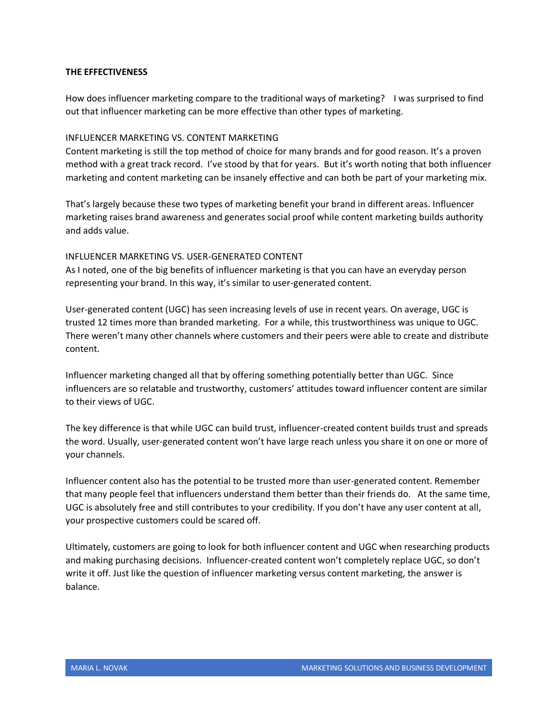#### **THE EFFECTIVENESS**

How does influencer marketing compare to the traditional ways of marketing? I was surprised to find out that influencer marketing can be more effective than other types of marketing.

#### INFLUENCER MARKETING VS. CONTENT MARKETING

Content marketing is still the top method of choice for many brands and for good reason. It's a proven method with a great track record. I've stood by that for years. But it's worth noting that both influencer marketing and content marketing can be insanely effective and can both be part of your marketing mix.

That's largely because these two types of marketing benefit your brand in different areas. Influencer marketing raises brand awareness and generates social proof while content marketing builds authority and adds value.

#### INFLUENCER MARKETING VS. USER-GENERATED CONTENT

As I noted, one of the big benefits of influencer marketing is that you can have an everyday person representing your brand. In this way, it's similar to user-generated content.

User-generated content (UGC) has seen increasing levels of use in recent years. On average, UGC is trusted 12 times more than branded marketing. For a while, this trustworthiness was unique to UGC. There weren't many other channels where customers and their peers were able to create and distribute content.

Influencer marketing changed all that by offering something potentially better than UGC. Since influencers are so relatable and trustworthy, customers' attitudes toward influencer content are similar to their views of UGC.

The key difference is that while UGC can build trust, influencer-created content builds trust and spreads the word. Usually, user-generated content won't have large reach unless you share it on one or more of your channels.

Influencer content also has the potential to be trusted more than user-generated content. Remember that many people feel that influencers understand them better than their friends do. At the same time, UGC is absolutely free and still contributes to your credibility. If you don't have any user content at all, your prospective customers could be scared off.

Ultimately, customers are going to look for both influencer content and UGC when researching products and making purchasing decisions. Influencer-created content won't completely replace UGC, so don't write it off. Just like the question of influencer marketing versus content marketing, the answer is balance.